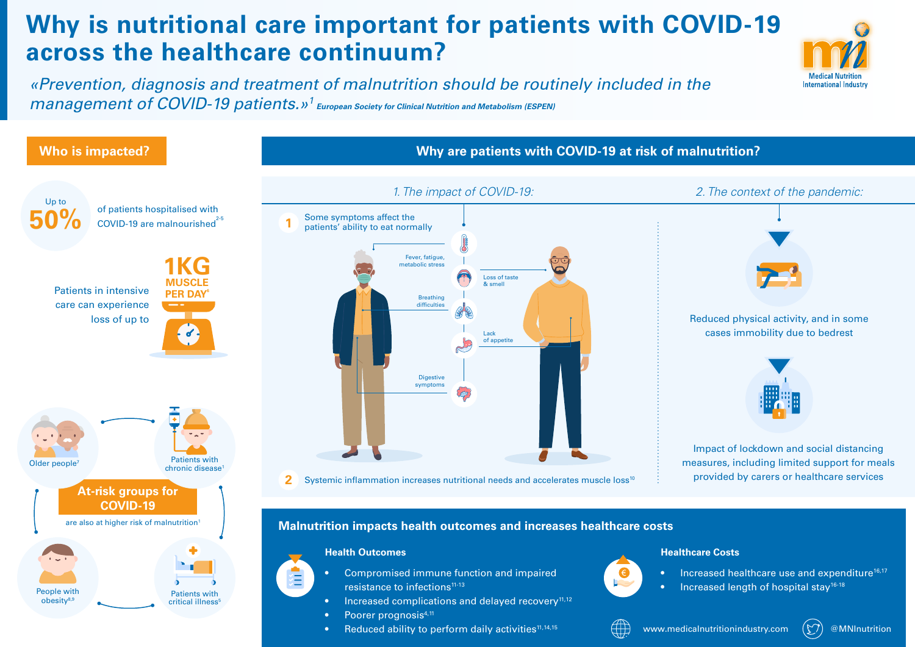# **Why is nutritional care important for patients with COVID-19 across the healthcare continuum?**

**International Industry** 

*«Prevention, diagnosis and treatment of malnutrition should be routinely included in the management of COVID-19 patients.»1 European Society for Clinical Nutrition and Metabolism (ESPEN)*